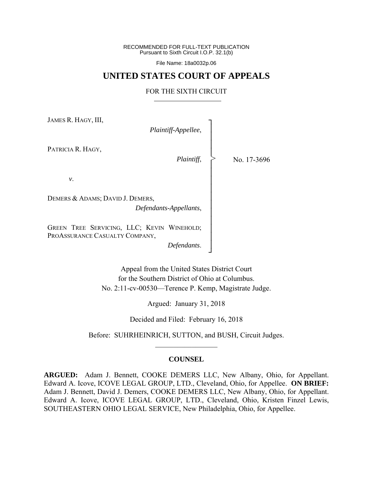RECOMMENDED FOR FULL-TEXT PUBLICATION Pursuant to Sixth Circuit I.O.P. 32.1(b)

File Name: 18a0032p.06

# **UNITED STATES COURT OF APPEALS**

### FOR THE SIXTH CIRCUIT

┐ │ │ │ │ │ │ │ │ │ │ │ │ │ │ │ ┘

>

JAMES R. HAGY, III,

*Plaintiff-Appellee*,

PATRICIA R. HAGY,

*Plaintiff*,

No. 17-3696

*v*.

DEMERS & ADAMS; DAVID J. DEMERS, *Defendants-Appellants*,

GREEN TREE SERVICING, LLC; KEVIN WINEHOLD; PROASSURANCE CASUALTY COMPANY,

*Defendants*.

Appeal from the United States District Court for the Southern District of Ohio at Columbus. No. 2:11-cv-00530—Terence P. Kemp, Magistrate Judge.

Argued: January 31, 2018

Decided and Filed: February 16, 2018

Before: SUHRHEINRICH, SUTTON, and BUSH, Circuit Judges.  $\frac{1}{2}$  ,  $\frac{1}{2}$  ,  $\frac{1}{2}$  ,  $\frac{1}{2}$  ,  $\frac{1}{2}$  ,  $\frac{1}{2}$  ,  $\frac{1}{2}$  ,  $\frac{1}{2}$  ,  $\frac{1}{2}$ 

### **COUNSEL**

**ARGUED:** Adam J. Bennett, COOKE DEMERS LLC, New Albany, Ohio, for Appellant. Edward A. Icove, ICOVE LEGAL GROUP, LTD., Cleveland, Ohio, for Appellee. **ON BRIEF:** Adam J. Bennett, David J. Demers, COOKE DEMERS LLC, New Albany, Ohio, for Appellant. Edward A. Icove, ICOVE LEGAL GROUP, LTD., Cleveland, Ohio, Kristen Finzel Lewis, SOUTHEASTERN OHIO LEGAL SERVICE, New Philadelphia, Ohio, for Appellee.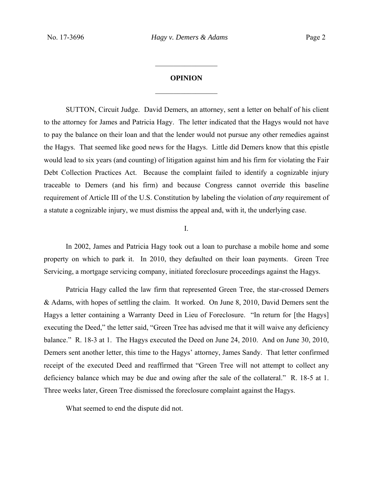# **OPINION**   $\frac{1}{2}$

 $\frac{1}{2}$ 

 SUTTON, Circuit Judge. David Demers, an attorney, sent a letter on behalf of his client to the attorney for James and Patricia Hagy. The letter indicated that the Hagys would not have to pay the balance on their loan and that the lender would not pursue any other remedies against the Hagys. That seemed like good news for the Hagys. Little did Demers know that this epistle would lead to six years (and counting) of litigation against him and his firm for violating the Fair Debt Collection Practices Act. Because the complaint failed to identify a cognizable injury traceable to Demers (and his firm) and because Congress cannot override this baseline requirement of Article III of the U.S. Constitution by labeling the violation of *any* requirement of a statute a cognizable injury, we must dismiss the appeal and, with it, the underlying case.

## I.

 In 2002, James and Patricia Hagy took out a loan to purchase a mobile home and some property on which to park it. In 2010, they defaulted on their loan payments. Green Tree Servicing, a mortgage servicing company, initiated foreclosure proceedings against the Hagys.

Patricia Hagy called the law firm that represented Green Tree, the star-crossed Demers & Adams, with hopes of settling the claim. It worked. On June 8, 2010, David Demers sent the Hagys a letter containing a Warranty Deed in Lieu of Foreclosure. "In return for [the Hagys] executing the Deed," the letter said, "Green Tree has advised me that it will waive any deficiency balance." R. 18-3 at 1. The Hagys executed the Deed on June 24, 2010. And on June 30, 2010, Demers sent another letter, this time to the Hagys' attorney, James Sandy. That letter confirmed receipt of the executed Deed and reaffirmed that "Green Tree will not attempt to collect any deficiency balance which may be due and owing after the sale of the collateral." R. 18-5 at 1. Three weeks later, Green Tree dismissed the foreclosure complaint against the Hagys.

What seemed to end the dispute did not.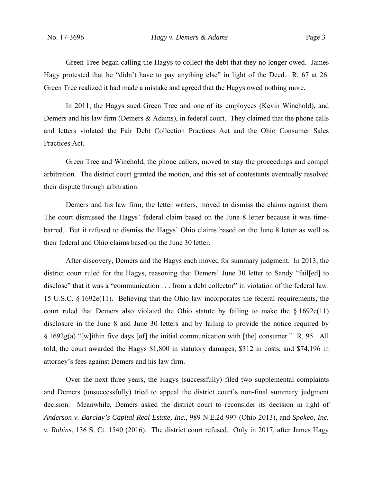Green Tree began calling the Hagys to collect the debt that they no longer owed. James Hagy protested that he "didn't have to pay anything else" in light of the Deed. R. 67 at 26. Green Tree realized it had made a mistake and agreed that the Hagys owed nothing more.

In 2011, the Hagys sued Green Tree and one of its employees (Kevin Winehold), and Demers and his law firm (Demers & Adams), in federal court. They claimed that the phone calls and letters violated the Fair Debt Collection Practices Act and the Ohio Consumer Sales Practices Act.

Green Tree and Winehold, the phone callers, moved to stay the proceedings and compel arbitration. The district court granted the motion, and this set of contestants eventually resolved their dispute through arbitration.

Demers and his law firm, the letter writers, moved to dismiss the claims against them. The court dismissed the Hagys' federal claim based on the June 8 letter because it was timebarred. But it refused to dismiss the Hagys' Ohio claims based on the June 8 letter as well as their federal and Ohio claims based on the June 30 letter.

After discovery, Demers and the Hagys each moved for summary judgment. In 2013, the district court ruled for the Hagys, reasoning that Demers' June 30 letter to Sandy "fail[ed] to disclose" that it was a "communication . . . from a debt collector" in violation of the federal law. 15 U.S.C. § 1692e(11). Believing that the Ohio law incorporates the federal requirements, the court ruled that Demers also violated the Ohio statute by failing to make the  $\S 1692e(11)$ disclosure in the June 8 and June 30 letters and by failing to provide the notice required by § 1692g(a) "[w]ithin five days [of] the initial communication with [the] consumer." R. 95. All told, the court awarded the Hagys \$1,800 in statutory damages, \$312 in costs, and \$74,196 in attorney's fees against Demers and his law firm.

Over the next three years, the Hagys (successfully) filed two supplemental complaints and Demers (unsuccessfully) tried to appeal the district court's non-final summary judgment decision. Meanwhile, Demers asked the district court to reconsider its decision in light of *Anderson v. Barclay's Capital Real Estate, Inc.*, 989 N.E.2d 997 (Ohio 2013), and *Spokeo, Inc. v. Robins*, 136 S. Ct. 1540 (2016). The district court refused. Only in 2017, after James Hagy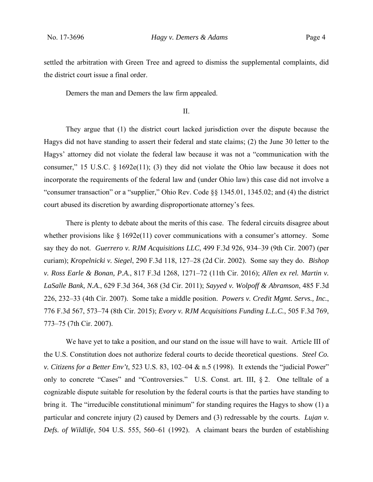settled the arbitration with Green Tree and agreed to dismiss the supplemental complaints, did the district court issue a final order.

Demers the man and Demers the law firm appealed.

II.

They argue that (1) the district court lacked jurisdiction over the dispute because the Hagys did not have standing to assert their federal and state claims; (2) the June 30 letter to the Hagys' attorney did not violate the federal law because it was not a "communication with the consumer," 15 U.S.C. § 1692e(11); (3) they did not violate the Ohio law because it does not incorporate the requirements of the federal law and (under Ohio law) this case did not involve a "consumer transaction" or a "supplier," Ohio Rev. Code §§ 1345.01, 1345.02; and (4) the district court abused its discretion by awarding disproportionate attorney's fees.

 There is plenty to debate about the merits of this case. The federal circuits disagree about whether provisions like  $\S$  1692e(11) cover communications with a consumer's attorney. Some say they do not. *Guerrero v. RJM Acquisitions LLC*, 499 F.3d 926, 934–39 (9th Cir. 2007) (per curiam); *Kropelnicki v. Siegel*, 290 F.3d 118, 127–28 (2d Cir. 2002). Some say they do. *Bishop v. Ross Earle & Bonan, P.A.*, 817 F.3d 1268, 1271–72 (11th Cir. 2016); *Allen ex rel. Martin v. LaSalle Bank, N.A.*, 629 F.3d 364, 368 (3d Cir. 2011); *Sayyed v. Wolpoff & Abramson*, 485 F.3d 226, 232–33 (4th Cir. 2007). Some take a middle position. *Powers v. Credit Mgmt. Servs., Inc.*, 776 F.3d 567, 573–74 (8th Cir. 2015); *Evory v. RJM Acquisitions Funding L.L.C.*, 505 F.3d 769, 773–75 (7th Cir. 2007).

We have yet to take a position, and our stand on the issue will have to wait. Article III of the U.S. Constitution does not authorize federal courts to decide theoretical questions. *Steel Co. v. Citizens for a Better Env't*, 523 U.S. 83, 102–04 & n.5 (1998). It extends the "judicial Power" only to concrete "Cases" and "Controversies." U.S. Const. art. III, § 2. One telltale of a cognizable dispute suitable for resolution by the federal courts is that the parties have standing to bring it. The "irreducible constitutional minimum" for standing requires the Hagys to show (1) a particular and concrete injury (2) caused by Demers and (3) redressable by the courts. *Lujan v. Defs. of Wildlife*, 504 U.S. 555, 560–61 (1992). A claimant bears the burden of establishing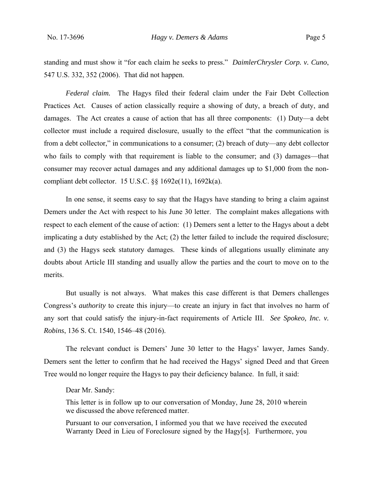standing and must show it "for each claim he seeks to press." *DaimlerChrysler Corp. v. Cuno*, 547 U.S. 332, 352 (2006). That did not happen.

*Federal claim.* The Hagys filed their federal claim under the Fair Debt Collection Practices Act. Causes of action classically require a showing of duty, a breach of duty, and damages. The Act creates a cause of action that has all three components: (1) Duty—a debt collector must include a required disclosure, usually to the effect "that the communication is from a debt collector," in communications to a consumer; (2) breach of duty—any debt collector who fails to comply with that requirement is liable to the consumer; and (3) damages—that consumer may recover actual damages and any additional damages up to \$1,000 from the noncompliant debt collector. 15 U.S.C. §§ 1692e(11), 1692k(a).

 In one sense, it seems easy to say that the Hagys have standing to bring a claim against Demers under the Act with respect to his June 30 letter. The complaint makes allegations with respect to each element of the cause of action: (1) Demers sent a letter to the Hagys about a debt implicating a duty established by the Act; (2) the letter failed to include the required disclosure; and (3) the Hagys seek statutory damages. These kinds of allegations usually eliminate any doubts about Article III standing and usually allow the parties and the court to move on to the merits.

 But usually is not always. What makes this case different is that Demers challenges Congress's *authority* to create this injury—to create an injury in fact that involves no harm of any sort that could satisfy the injury-in-fact requirements of Article III. *See Spokeo, Inc. v. Robins*, 136 S. Ct. 1540, 1546–48 (2016).

 The relevant conduct is Demers' June 30 letter to the Hagys' lawyer, James Sandy. Demers sent the letter to confirm that he had received the Hagys' signed Deed and that Green Tree would no longer require the Hagys to pay their deficiency balance. In full, it said:

Dear Mr. Sandy:

This letter is in follow up to our conversation of Monday, June 28, 2010 wherein we discussed the above referenced matter.

Pursuant to our conversation, I informed you that we have received the executed Warranty Deed in Lieu of Foreclosure signed by the Hagy[s]. Furthermore, you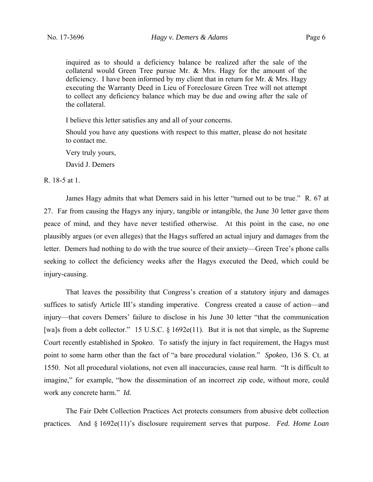inquired as to should a deficiency balance be realized after the sale of the collateral would Green Tree pursue Mr.  $&$  Mrs. Hagy for the amount of the deficiency. I have been informed by my client that in return for Mr. & Mrs. Hagy executing the Warranty Deed in Lieu of Foreclosure Green Tree will not attempt to collect any deficiency balance which may be due and owing after the sale of the collateral.

I believe this letter satisfies any and all of your concerns.

Should you have any questions with respect to this matter, please do not hesitate to contact me.

Very truly yours,

David J. Demers

### R. 18-5 at 1.

 James Hagy admits that what Demers said in his letter "turned out to be true." R. 67 at 27. Far from causing the Hagys any injury, tangible or intangible, the June 30 letter gave them peace of mind, and they have never testified otherwise. At this point in the case, no one plausibly argues (or even alleges) that the Hagys suffered an actual injury and damages from the letter. Demers had nothing to do with the true source of their anxiety—Green Tree's phone calls seeking to collect the deficiency weeks after the Hagys executed the Deed, which could be injury-causing.

 That leaves the possibility that Congress's creation of a statutory injury and damages suffices to satisfy Article III's standing imperative. Congress created a cause of action—and injury—that covers Demers' failure to disclose in his June 30 letter "that the communication [wa]s from a debt collector." 15 U.S.C. § 1692e(11). But it is not that simple, as the Supreme Court recently established in *Spokeo*. To satisfy the injury in fact requirement, the Hagys must point to some harm other than the fact of "a bare procedural violation." *Spokeo*, 136 S. Ct. at 1550. Not all procedural violations, not even all inaccuracies, cause real harm. "It is difficult to imagine," for example, "how the dissemination of an incorrect zip code, without more, could work any concrete harm." *Id.* 

The Fair Debt Collection Practices Act protects consumers from abusive debt collection practices. And § 1692e(11)'s disclosure requirement serves that purpose. *Fed. Home Loan*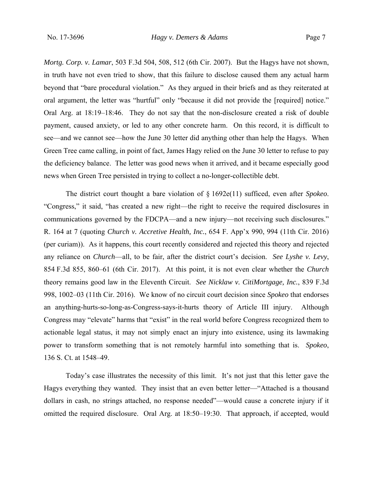*Mortg. Corp. v. Lamar*, 503 F.3d 504, 508, 512 (6th Cir. 2007). But the Hagys have not shown, in truth have not even tried to show, that this failure to disclose caused them any actual harm beyond that "bare procedural violation." As they argued in their briefs and as they reiterated at oral argument, the letter was "hurtful" only "because it did not provide the [required] notice." Oral Arg. at 18:19–18:46. They do not say that the non-disclosure created a risk of double payment, caused anxiety, or led to any other concrete harm. On this record, it is difficult to see—and we cannot see—how the June 30 letter did anything other than help the Hagys. When Green Tree came calling, in point of fact, James Hagy relied on the June 30 letter to refuse to pay the deficiency balance. The letter was good news when it arrived, and it became especially good news when Green Tree persisted in trying to collect a no-longer-collectible debt.

 The district court thought a bare violation of § 1692e(11) sufficed, even after *Spokeo*. "Congress," it said, "has created a new right—the right to receive the required disclosures in communications governed by the FDCPA—and a new injury—not receiving such disclosures." R. 164 at 7 (quoting *Church v. Accretive Health, Inc.*, 654 F. App'x 990, 994 (11th Cir. 2016) (per curiam)). As it happens, this court recently considered and rejected this theory and rejected any reliance on *Church*—all, to be fair, after the district court's decision. *See Lyshe v. Levy*, 854 F.3d 855, 860–61 (6th Cir. 2017). At this point, it is not even clear whether the *Church*  theory remains good law in the Eleventh Circuit. *See Nicklaw v. CitiMortgage, Inc.*, 839 F.3d 998, 1002–03 (11th Cir. 2016).We know of no circuit court decision since *Spokeo* that endorses an anything-hurts-so-long-as-Congress-says-it-hurts theory of Article III injury. Although Congress may "elevate" harms that "exist" in the real world before Congress recognized them to actionable legal status, it may not simply enact an injury into existence, using its lawmaking power to transform something that is not remotely harmful into something that is. *Spokeo*, 136 S. Ct. at 1548–49.

 Today's case illustrates the necessity of this limit. It's not just that this letter gave the Hagys everything they wanted. They insist that an even better letter—"Attached is a thousand dollars in cash, no strings attached, no response needed"—would cause a concrete injury if it omitted the required disclosure. Oral Arg. at 18:50–19:30. That approach, if accepted, would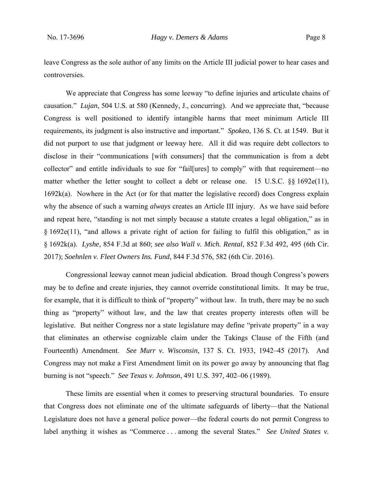leave Congress as the sole author of any limits on the Article III judicial power to hear cases and controversies.

 We appreciate that Congress has some leeway "to define injuries and articulate chains of causation." *Lujan*, 504 U.S. at 580 (Kennedy, J., concurring). And we appreciate that, "because Congress is well positioned to identify intangible harms that meet minimum Article III requirements, its judgment is also instructive and important." *Spokeo*, 136 S. Ct. at 1549. But it did not purport to use that judgment or leeway here. All it did was require debt collectors to disclose in their "communications [with consumers] that the communication is from a debt collector" and entitle individuals to sue for "fail[ures] to comply" with that requirement—no matter whether the letter sought to collect a debt or release one. 15 U.S.C. §§ 1692e(11), 1692k(a). Nowhere in the Act (or for that matter the legislative record) does Congress explain why the absence of such a warning *always* creates an Article III injury. As we have said before and repeat here, "standing is not met simply because a statute creates a legal obligation," as in § 1692e(11), "and allows a private right of action for failing to fulfil this obligation," as in § 1692k(a). *Lyshe*, 854 F.3d at 860; *see also Wall v. Mich. Rental*, 852 F.3d 492, 495 (6th Cir. 2017); *Soehnlen v. Fleet Owners Ins. Fund*, 844 F.3d 576, 582 (6th Cir. 2016).

 Congressional leeway cannot mean judicial abdication. Broad though Congress's powers may be to define and create injuries, they cannot override constitutional limits. It may be true, for example, that it is difficult to think of "property" without law. In truth, there may be no such thing as "property" without law, and the law that creates property interests often will be legislative. But neither Congress nor a state legislature may define "private property" in a way that eliminates an otherwise cognizable claim under the Takings Clause of the Fifth (and Fourteenth) Amendment. *See Murr v. Wisconsin*, 137 S. Ct. 1933, 1942–45 (2017). And Congress may not make a First Amendment limit on its power go away by announcing that flag burning is not "speech." *See Texas v. Johnson*, 491 U.S. 397, 402–06 (1989).

 These limits are essential when it comes to preserving structural boundaries. To ensure that Congress does not eliminate one of the ultimate safeguards of liberty—that the National Legislature does not have a general police power—the federal courts do not permit Congress to label anything it wishes as "Commerce . . . among the several States." *See United States v.*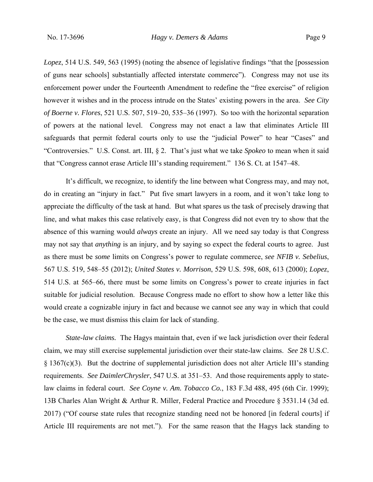*Lopez*, 514 U.S. 549, 563 (1995) (noting the absence of legislative findings "that the [possession of guns near schools] substantially affected interstate commerce"). Congress may not use its enforcement power under the Fourteenth Amendment to redefine the "free exercise" of religion however it wishes and in the process intrude on the States' existing powers in the area. *See City of Boerne v. Flores*, 521 U.S. 507, 519–20, 535–36 (1997). So too with the horizontal separation of powers at the national level. Congress may not enact a law that eliminates Article III safeguards that permit federal courts only to use the "judicial Power" to hear "Cases" and "Controversies." U.S. Const. art. III, § 2. That's just what we take *Spokeo* to mean when it said that "Congress cannot erase Article III's standing requirement." 136 S. Ct. at 1547–48.

 It's difficult, we recognize, to identify the line between what Congress may, and may not, do in creating an "injury in fact." Put five smart lawyers in a room, and it won't take long to appreciate the difficulty of the task at hand. But what spares us the task of precisely drawing that line, and what makes this case relatively easy, is that Congress did not even try to show that the absence of this warning would *always* create an injury. All we need say today is that Congress may not say that *anything* is an injury, and by saying so expect the federal courts to agree. Just as there must be *some* limits on Congress's power to regulate commerce, *see NFIB v. Sebelius*, 567 U.S. 519, 548–55 (2012); *United States v. Morrison*, 529 U.S. 598, 608, 613 (2000); *Lopez*, 514 U.S. at 565–66, there must be some limits on Congress's power to create injuries in fact suitable for judicial resolution. Because Congress made no effort to show how a letter like this would create a cognizable injury in fact and because we cannot see any way in which that could be the case, we must dismiss this claim for lack of standing.

*State-law claims.* The Hagys maintain that, even if we lack jurisdiction over their federal claim, we may still exercise supplemental jurisdiction over their state-law claims. *See* 28 U.S.C. § 1367(c)(3). But the doctrine of supplemental jurisdiction does not alter Article III's standing requirements. *See DaimlerChrysler*, 547 U.S. at 351–53. And those requirements apply to statelaw claims in federal court. *See Coyne v. Am. Tobacco Co.*, 183 F.3d 488, 495 (6th Cir. 1999); 13B Charles Alan Wright & Arthur R. Miller, Federal Practice and Procedure § 3531.14 (3d ed. 2017) ("Of course state rules that recognize standing need not be honored [in federal courts] if Article III requirements are not met."). For the same reason that the Hagys lack standing to